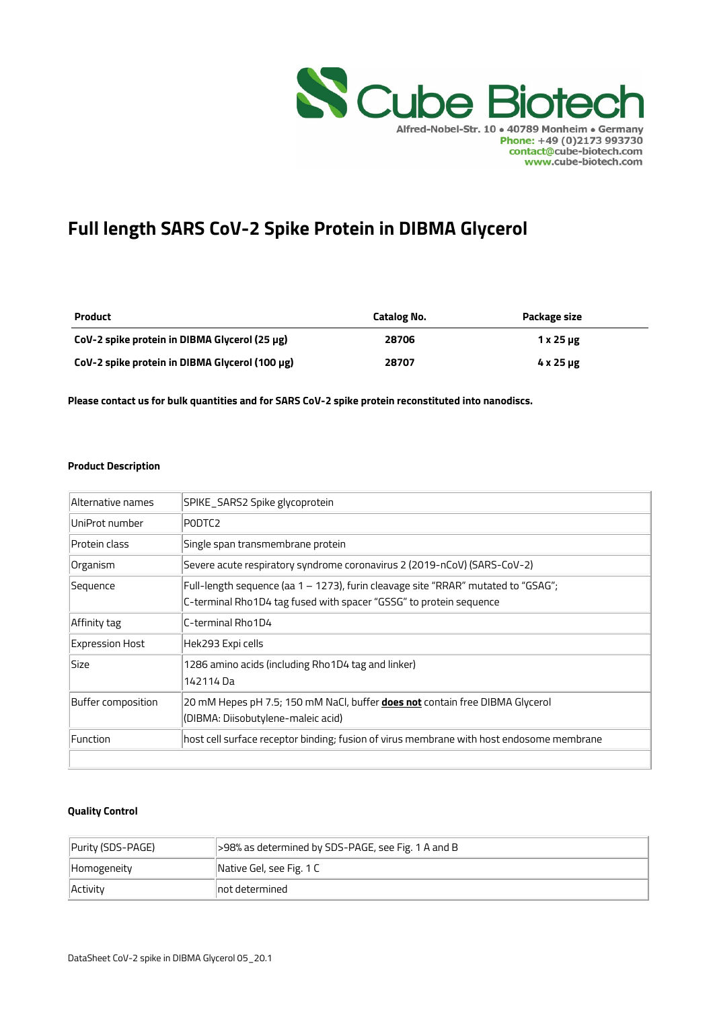

# **Full length SARS CoV-2 Spike Protein in DIBMA Glycerol**

| <b>Product</b>                                 | Catalog No. | Package size |
|------------------------------------------------|-------------|--------------|
| CoV-2 spike protein in DIBMA Glycerol (25 µg)  | 28706       | $1x25 \mu g$ |
| CoV-2 spike protein in DIBMA Glycerol (100 µg) | 28707       | $4x25 \mu g$ |

**Please contact us for bulk quantities and for SARS CoV-2 spike protein reconstituted into nanodiscs.** 

#### **Product Description**

| Alternative names      | SPIKE_SARS2 Spike glycoprotein                                                           |
|------------------------|------------------------------------------------------------------------------------------|
| UniProt number         | PODTC <sub>2</sub>                                                                       |
| Protein class          | Single span transmembrane protein                                                        |
| Organism               | Severe acute respiratory syndrome coronavirus 2 (2019-nCoV) (SARS-CoV-2)                 |
| Sequence               | Full-length sequence (aa 1 – 1273), furin cleavage site "RRAR" mutated to "GSAG";        |
|                        | C-terminal Rho1D4 tag fused with spacer "GSSG" to protein sequence                       |
| Affinity tag           | C-terminal Rho1D4                                                                        |
| <b>Expression Host</b> | Hek293 Expi cells                                                                        |
| Size                   | 1286 amino acids (including Rho1D4 tag and linker)                                       |
|                        | 142114 Da                                                                                |
| Buffer composition     | 20 mM Hepes pH 7.5; 150 mM NaCl, buffer <b>does not</b> contain free DIBMA Glycerol      |
|                        | (DIBMA: Diisobutylene-maleic acid)                                                       |
| Function               | host cell surface receptor binding; fusion of virus membrane with host endosome membrane |
|                        |                                                                                          |

#### **Quality Control**

| Purity (SDS-PAGE) | S98% as determined by SDS-PAGE, see Fig. 1 A and B |
|-------------------|----------------------------------------------------|
| Homogeneity       | Native Gel, see Fig. 1 C                           |
| Activity          | $\parallel$ not determined                         |